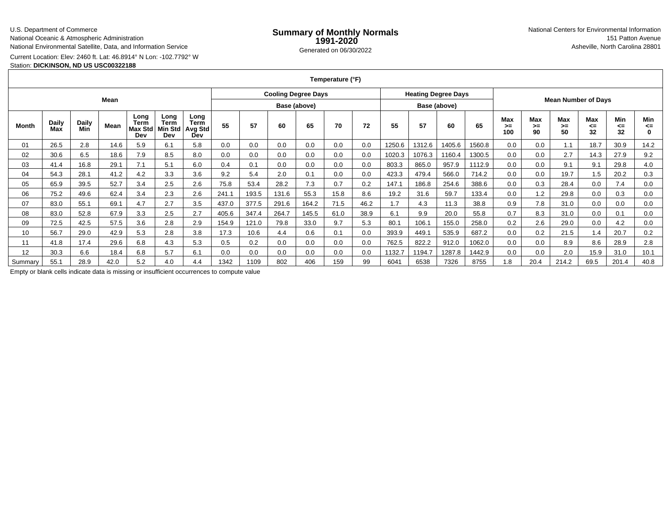### U.S. Department of Commerce

National Oceanic & Atmospheric Administration

National Environmental Satellite, Data, and Information Service

## Current Location: Elev: 2460 ft. Lat: 46.8914° N Lon: -102.7792° W

### Station: **DICKINSON, ND US USC00322188**

| Temperature (°F) |  |  |
|------------------|--|--|
|------------------|--|--|

| Mean    |                     |              |      |                                | <b>Cooling Degree Days</b>      |                                       |              |       |       | <b>Heating Degree Days</b> |      |              |        |        |        |                            |                  |                 |                        |                        |                 |                  |
|---------|---------------------|--------------|------|--------------------------------|---------------------------------|---------------------------------------|--------------|-------|-------|----------------------------|------|--------------|--------|--------|--------|----------------------------|------------------|-----------------|------------------------|------------------------|-----------------|------------------|
|         |                     |              |      |                                |                                 |                                       | Base (above) |       |       |                            |      | Base (above) |        |        |        | <b>Mean Number of Days</b> |                  |                 |                        |                        |                 |                  |
| Month   | <b>Daily</b><br>Max | Daily<br>Min | Mean | Long<br>Term<br>Max Std<br>Dev | Long<br>Term<br>Viin Std<br>Dev | Long<br><b>Term</b><br>Avg Std<br>Dev | 55           | 57    | 60    | 65                         | 70   | 72           | 55     | 57     | 60     | 65                         | Max<br>>≕<br>100 | Max<br>>=<br>90 | <b>Max</b><br>≻=<br>50 | <b>Max</b><br>⋖⋍<br>32 | Min<br><=<br>32 | Min<br><=        |
| 01      | 26.5                | 2.8          | 14.6 | 5.9                            | 6.1                             | 5.8                                   | 0.0          | 0.0   | 0.0   | 0.0                        | 0.0  | 0.0          | 1250.6 | 1312.6 | 1405.6 | 1560.8                     | 0.0              | 0.0             | 1.1                    | 18.7                   | 30.9            | 14.2             |
| 02      | 30.6                | 6.5          | 18.6 | 7.9                            | 8.5                             | 8.0                                   | 0.0          | 0.0   | 0.0   | 0.0                        | 0.0  | 0.0          | 1020.3 | 1076.3 | 1160.4 | 1300.5                     | 0.0              | 0.0             | 2.7                    | 14.3                   | 27.9            | 9.2              |
| 03      | 41.4                | 16.8         | 29.1 | 7.1                            | 5.1                             | 6.0                                   | 0.4          | 0.1   | 0.0   | 0.0                        | 0.0  | 0.0          | 803.3  | 865.0  | 957.9  | 1112.9                     | 0.0              | 0.0             | 9.1                    | 9.1                    | 29.8            | 4.0              |
| 04      | 54.3                | 28.1         | 41.2 | 4.2                            | 3.3                             | 3.6                                   | 9.2          | 5.4   | 2.0   | 0.1                        | 0.0  | 0.0          | 423.3  | 479.4  | 566.0  | 714.2                      | 0.0              | 0.0             | 19.7                   | 1.5                    | 20.2            | 0.3              |
| 05      | 65.9                | 39.5         | 52.7 | 3.4                            | 2.5                             | 2.6                                   | 75.8         | 53.4  | 28.2  | 7.3                        | 0.7  | 0.2          | 147.1  | 186.8  | 254.6  | 388.6                      | 0.0              | 0.3             | 28.4                   | 0.0                    | 7.4             | 0.0              |
| 06      | 75.2                | 49.6         | 62.4 | 3.4                            | 2.3                             | 2.6                                   | 241.1        | 193.5 | 131.6 | 55.3                       | 15.8 | 8.6          | 19.2   | 31.6   | 59.7   | 133.4                      | 0.0              | 1.2             | 29.8                   | 0.0                    | 0.3             | 0.0              |
| 07      | 83.0                | 55.1         | 69.1 | 4.7                            | 2.7                             | 3.5                                   | 437.0        | 377.5 | 291.6 | 164.2                      | 71.5 | 46.2         | 1.7    | 4.3    | 11.3   | 38.8                       | 0.9              | 7.8             | 31.0                   | 0.0                    | 0.0             | 0.0              |
| 08      | 83.0                | 52.8         | 67.9 | 3.3                            | 2.5                             | 2.7                                   | 405.6        | 347.4 | 264.7 | 145.5                      | 61.0 | 38.9         | 6.1    | 9.9    | 20.0   | 55.8                       | 0.7              | 8.3             | 31.0                   | 0.0                    | 0.1             | 0.0              |
| 09      | 72.5                | 42.5         | 57.5 | 3.6                            | 2.8                             | 2.9                                   | 154.9        | 121.0 | 79.8  | 33.0                       | 9.7  | 5.3          | 80.1   | 106.1  | 155.0  | 258.0                      | 0.2              | 2.6             | 29.0                   | 0.0                    | 4.2             | 0.0              |
| 10      | 56.7                | 29.0         | 42.9 | 5.3                            | 2.8                             | 3.8                                   | 17.3         | 10.6  | 4.4   | 0.6                        | 0.1  | 0.0          | 393.9  | 449.1  | 535.9  | 687.2                      | 0.0              | 0.2             | 21.5                   | 1.4                    | 20.7            | 0.2 <sub>0</sub> |
| 11      | 41.8                | 17.4         | 29.6 | 6.8                            | 4.3                             | 5.3                                   | 0.5          | 0.2   | 0.0   | 0.0                        | 0.0  | 0.0          | 762.5  | 822.2  | 912.0  | 1062.0                     | 0.0              | 0.0             | 8.9                    | 8.6                    | 28.9            | 2.8              |
| 12      | 30.3                | 6.6          | 18.4 | 6.8                            | 5.7                             | 6.1                                   | 0.0          | 0.0   | 0.0   | 0.0                        | 0.0  | 0.0          | 1132.7 | 1194.7 | 1287.8 | 1442.9                     | 0.0              | 0.0             | 2.0                    | 15.9                   | 31.0            | 10.1             |
| Summarv | 55.1                | 28.9         | 42.0 | 5.2                            | 4.0                             | 4.4                                   | 1342         | 1109  | 802   | 406                        | 159  | 99           | 6041   | 6538   | 7326   | 8755                       | 1.8              | 20.4            | 214.2                  | 69.5                   | 201.4           | 40.8             |

Empty or blank cells indicate data is missing or insufficient occurrences to compute value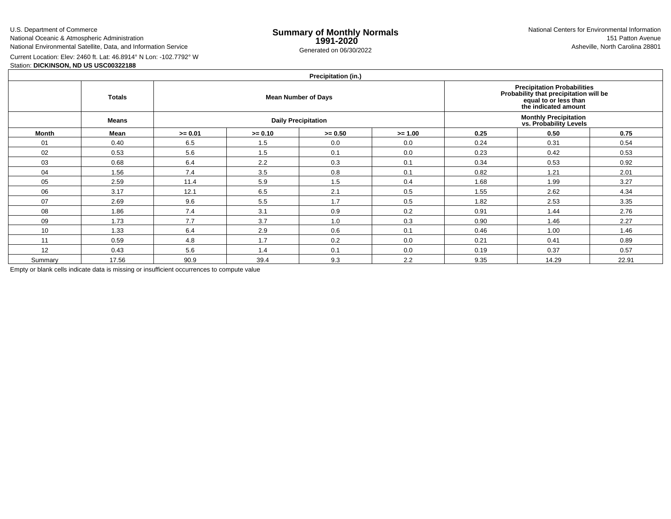U.S. Department of CommerceNational Oceanic & Atmospheric Administration

National Environmental Satellite, Data, and Information Service

e **Summary of Monthly Normals**<br> **1991-2020** 151 Patton Avenue **1991-2020** 1997-2020 e Generated on 06/30/2022 Asheville, North Carolina 28801 National Centers for Environmental Information151 Patton Avenue

Current Location: Elev: 2460 ft. Lat: 46.8914° N Lon: -102.7792° W

# Station: **DICKINSON, ND US USC00322188**

## **Precipitation (in.)**

|         | <b>Totals</b><br>Means |           |           | $\cdots$<br><b>Mean Number of Days</b><br><b>Daily Precipitation</b> | Precipitation Probabilities<br>Probability that precipitation will be<br>equal to or less than<br>the indicated amount<br><b>Monthly Precipitation<br/>vs. Probability Levels</b> |      |       |       |  |  |
|---------|------------------------|-----------|-----------|----------------------------------------------------------------------|-----------------------------------------------------------------------------------------------------------------------------------------------------------------------------------|------|-------|-------|--|--|
| Month   | Mean                   | $>= 0.01$ | $>= 0.10$ | $>= 0.50$                                                            | $>= 1.00$                                                                                                                                                                         | 0.25 | 0.50  | 0.75  |  |  |
| 01      | 0.40                   | 6.5       | 1.5       | 0.0                                                                  | 0.0                                                                                                                                                                               | 0.24 | 0.31  | 0.54  |  |  |
| 02      | 0.53                   | 5.6       | 1.5       | 0.1                                                                  | 0.0                                                                                                                                                                               | 0.23 | 0.42  | 0.53  |  |  |
| 03      | 0.68                   | 6.4       | 2.2       | 0.3                                                                  | 0.1                                                                                                                                                                               | 0.34 | 0.53  | 0.92  |  |  |
| 04      | 1.56                   | 7.4       | 3.5       | 0.8                                                                  | 0.1                                                                                                                                                                               | 0.82 | 1.21  | 2.01  |  |  |
| 05      | 2.59                   | 11.4      | 5.9       | 1.5                                                                  | 0.4                                                                                                                                                                               | 1.68 | 1.99  | 3.27  |  |  |
| 06      | 3.17                   | 12.1      | 6.5       | 2.1                                                                  | 0.5                                                                                                                                                                               | 1.55 | 2.62  | 4.34  |  |  |
| 07      | 2.69                   | 9.6       | 5.5       | 1.7                                                                  | 0.5                                                                                                                                                                               | 1.82 | 2.53  | 3.35  |  |  |
| 08      | 1.86                   | 7.4       | 3.1       | 0.9                                                                  | 0.2                                                                                                                                                                               | 0.91 | 1.44  | 2.76  |  |  |
| 09      | 1.73                   | 7.7       | 3.7       | 1.0                                                                  | 0.3                                                                                                                                                                               | 0.90 | 1.46  | 2.27  |  |  |
| 10      | 1.33                   | 6.4       | 2.9       | 0.6                                                                  | 0.1                                                                                                                                                                               | 0.46 | 1.00  | 1.46  |  |  |
| 11      | 0.59                   | 4.8       | 1.7       | 0.2                                                                  | 0.0                                                                                                                                                                               | 0.21 | 0.41  | 0.89  |  |  |
| 12      | 0.43                   | 5.6       | 1.4       | 0.1                                                                  | 0.0                                                                                                                                                                               | 0.19 | 0.37  | 0.57  |  |  |
| Summary | 17.56                  | 90.9      | 39.4      | 9.3                                                                  | 2.2                                                                                                                                                                               | 9.35 | 14.29 | 22.91 |  |  |

Empty or blank cells indicate data is missing or insufficient occurrences to compute value